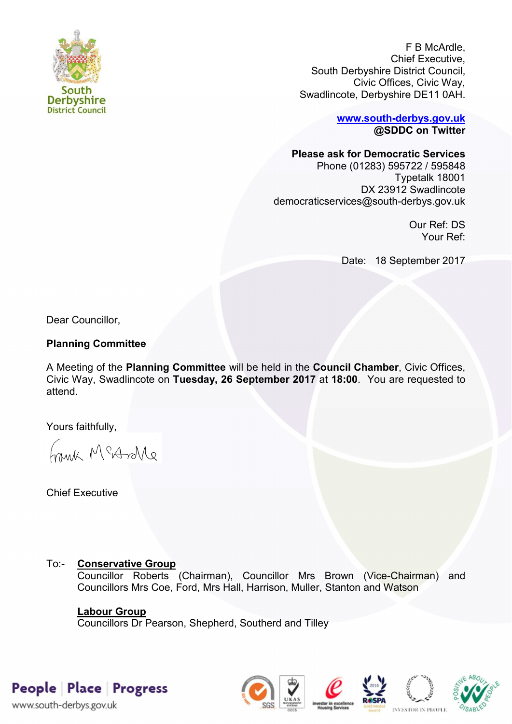

F B McArdle, Chief Executive, South Derbyshire District Council, Civic Offices, Civic Way, Swadlincote, Derbyshire DE11 0AH.

> **[www.south-derbys.gov.uk](http://www.south-derbys.gov.uk/) @SDDC on Twitter**

### **Please ask for Democratic Services**

Phone (01283) 595722 / 595848 Typetalk 18001 DX 23912 Swadlincote democraticservices@south-derbys.gov.uk

> Our Ref: DS Your Ref:

Date: 18 September 2017

Dear Councillor,

### **Planning Committee**

A Meeting of the **Planning Committee** will be held in the **Council Chamber**, Civic Offices, Civic Way, Swadlincote on **Tuesday, 26 September 2017** at **18:00**. You are requested to attend.

Yours faithfully,

brisk McAndre

Chief Executive

## To:- **Conservative Group**

Councillor Roberts (Chairman), Councillor Mrs Brown (Vice-Chairman) and Councillors Mrs Coe, Ford, Mrs Hall, Harrison, Muller, Stanton and Watson

### **Labour Group**

Councillors Dr Pearson, Shepherd, Southerd and Tilley

# People Place Progress

www.south-derbys.gov.uk